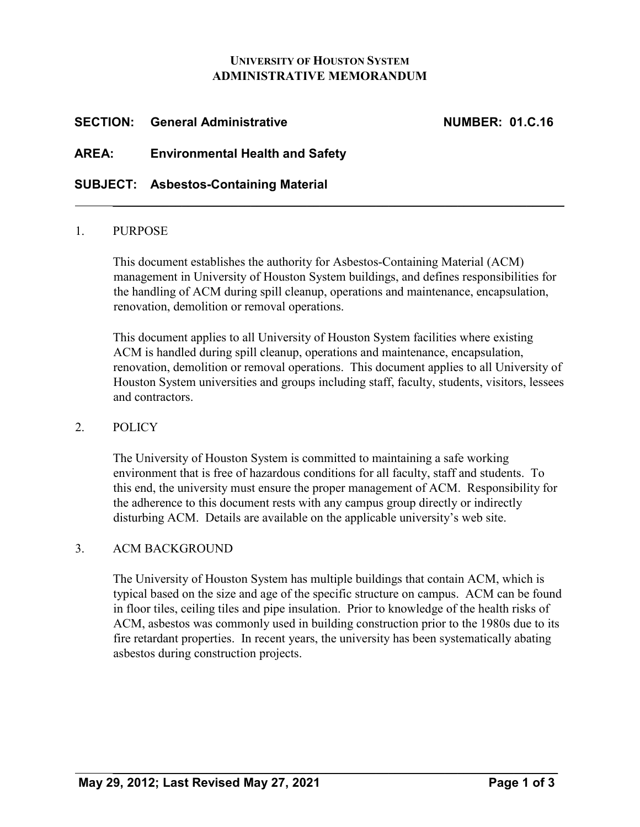### **UNIVERSITY OF HOUSTON SYSTEM ADMINISTRATIVE MEMORANDUM**

## **SECTION: General Administrative NUMBER: 01.C.16**

## **AREA: Environmental Health and Safety**

## **SUBJECT: Asbestos-Containing Material**

#### 1. PURPOSE

This document establishes the authority for Asbestos-Containing Material (ACM) management in University of Houston System buildings, and defines responsibilities for the handling of ACM during spill cleanup, operations and maintenance, encapsulation, renovation, demolition or removal operations.

 $\mathcal{L}_\text{max} = \mathcal{L}_\text{max} = \mathcal{L}_\text{max} = \mathcal{L}_\text{max} = \mathcal{L}_\text{max} = \mathcal{L}_\text{max} = \mathcal{L}_\text{max} = \mathcal{L}_\text{max} = \mathcal{L}_\text{max} = \mathcal{L}_\text{max} = \mathcal{L}_\text{max} = \mathcal{L}_\text{max} = \mathcal{L}_\text{max} = \mathcal{L}_\text{max} = \mathcal{L}_\text{max} = \mathcal{L}_\text{max} = \mathcal{L}_\text{max} = \mathcal{L}_\text{max} = \mathcal{$ 

This document applies to all University of Houston System facilities where existing ACM is handled during spill cleanup, operations and maintenance, encapsulation, renovation, demolition or removal operations. This document applies to all University of Houston System universities and groups including staff, faculty, students, visitors, lessees and contractors.

#### 2. POLICY

The University of Houston System is committed to maintaining a safe working environment that is free of hazardous conditions for all faculty, staff and students. To this end, the university must ensure the proper management of ACM. Responsibility for the adherence to this document rests with any campus group directly or indirectly disturbing ACM. Details are available on the applicable university's web site.

## 3. ACM BACKGROUND

The University of Houston System has multiple buildings that contain ACM, which is typical based on the size and age of the specific structure on campus. ACM can be found in floor tiles, ceiling tiles and pipe insulation. Prior to knowledge of the health risks of ACM, asbestos was commonly used in building construction prior to the 1980s due to its fire retardant properties. In recent years, the university has been systematically abating asbestos during construction projects.

 $\mathcal{L}_\text{max} = \mathcal{L}_\text{max} = \mathcal{L}_\text{max} = \mathcal{L}_\text{max} = \mathcal{L}_\text{max} = \mathcal{L}_\text{max} = \mathcal{L}_\text{max} = \mathcal{L}_\text{max} = \mathcal{L}_\text{max} = \mathcal{L}_\text{max} = \mathcal{L}_\text{max} = \mathcal{L}_\text{max} = \mathcal{L}_\text{max} = \mathcal{L}_\text{max} = \mathcal{L}_\text{max} = \mathcal{L}_\text{max} = \mathcal{L}_\text{max} = \mathcal{L}_\text{max} = \mathcal{$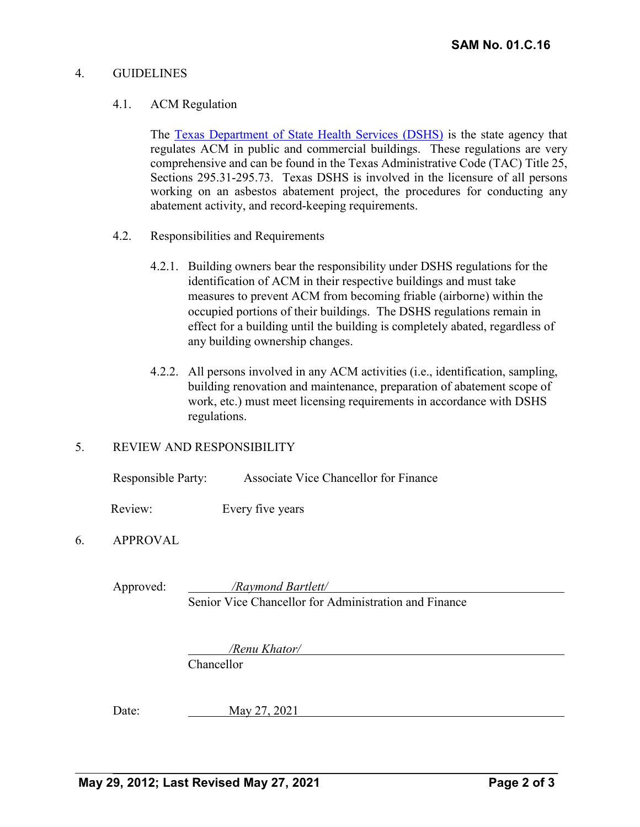#### 4. GUIDELINES

#### 4.1. ACM Regulation

The [Texas Department of State Health Services \(DSHS\)](http://www.dshs.texas.gov/asbestos/default.aspx) [i](http://www.dshs.texas.gov/asbestos/default.aspx)s the state agency that regulates ACM in public and commercial buildings. These regulations are very comprehensive and can be found in the Texas Administrative Code (TAC) Title 25, Sections 295.31-295.73. Texas DSHS is involved in the licensure of all persons working on an asbestos abatement project, the procedures for conducting any abatement activity, and record-keeping requirements.

- 4.2. Responsibilities and Requirements
	- 4.2.1. Building owners bear the responsibility under DSHS regulations for the identification of ACM in their respective buildings and must take measures to prevent ACM from becoming friable (airborne) within the occupied portions of their buildings. The DSHS regulations remain in effect for a building until the building is completely abated, regardless of any building ownership changes.
	- 4.2.2. All persons involved in any ACM activities (i.e., identification, sampling, building renovation and maintenance, preparation of abatement scope of work, etc.) must meet licensing requirements in accordance with DSHS regulations.

#### 5. REVIEW AND RESPONSIBILITY

Responsible Party: Associate Vice Chancellor for Finance

Review: Every five years

## 6. APPROVAL

Approved: */Raymond Bartlett/* Senior Vice Chancellor for Administration and Finance

*/Renu Khator/* 

 $\mathcal{L}_\text{max} = \mathcal{L}_\text{max} = \mathcal{L}_\text{max} = \mathcal{L}_\text{max} = \mathcal{L}_\text{max} = \mathcal{L}_\text{max} = \mathcal{L}_\text{max} = \mathcal{L}_\text{max} = \mathcal{L}_\text{max} = \mathcal{L}_\text{max} = \mathcal{L}_\text{max} = \mathcal{L}_\text{max} = \mathcal{L}_\text{max} = \mathcal{L}_\text{max} = \mathcal{L}_\text{max} = \mathcal{L}_\text{max} = \mathcal{L}_\text{max} = \mathcal{L}_\text{max} = \mathcal{$ 

Chancellor

Date: May 27, 2021